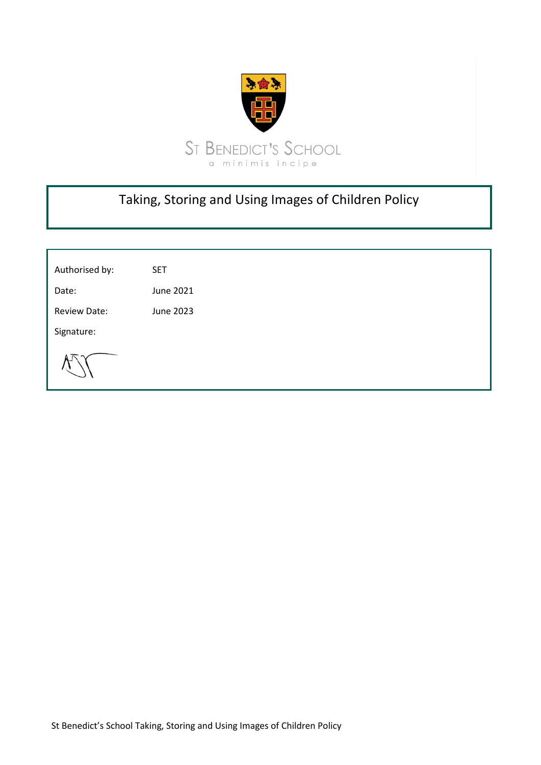

# Taking, Storing and Using Images of Children Policy

| Authorised by:      | <b>SET</b> |
|---------------------|------------|
| Date:               | June 2021  |
| <b>Review Date:</b> | June 2023  |
| Signature:          |            |
|                     |            |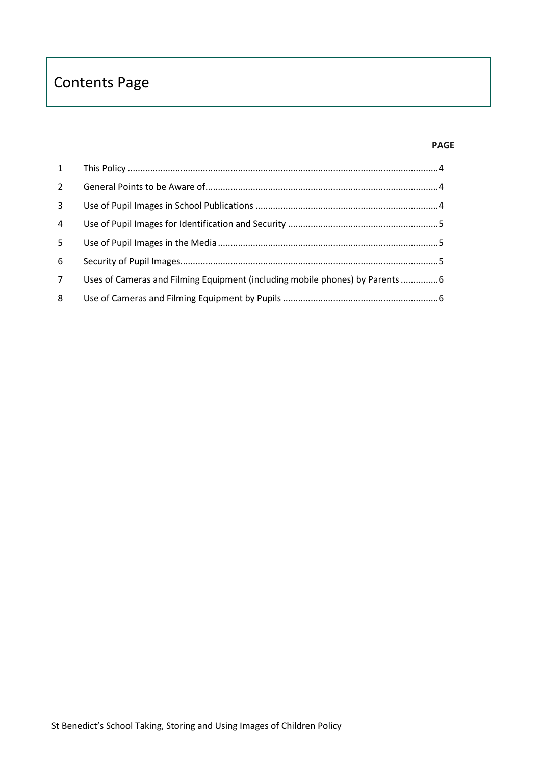# Contents Page

#### **PAGE**

| $2^{\circ}$    |                                                                              |  |
|----------------|------------------------------------------------------------------------------|--|
| 3              |                                                                              |  |
| $\overline{a}$ |                                                                              |  |
| 5 <sup>5</sup> |                                                                              |  |
| 6              |                                                                              |  |
| $7^{\circ}$    | Uses of Cameras and Filming Equipment (including mobile phones) by Parents 6 |  |
| 8              |                                                                              |  |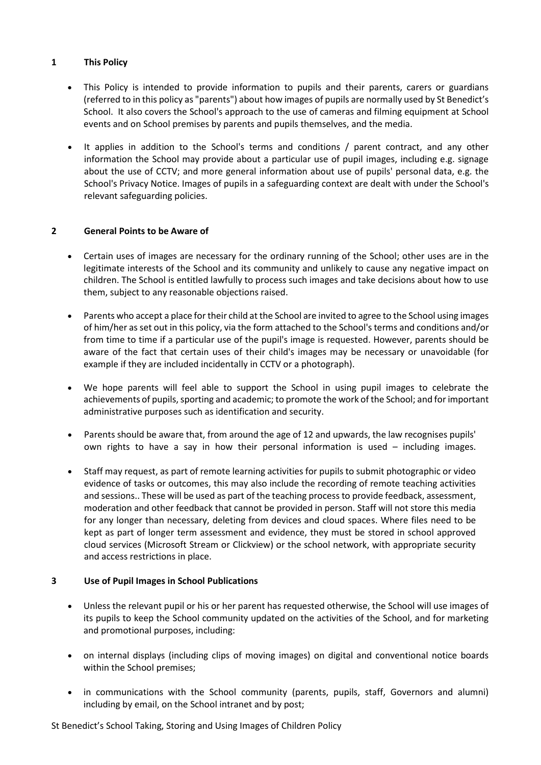#### <span id="page-2-0"></span>**1 This Policy**

- This Policy is intended to provide information to pupils and their parents, carers or guardians (referred to in this policy as "parents") about how images of pupils are normally used by St Benedict's School. It also covers the School's approach to the use of cameras and filming equipment at School events and on School premises by parents and pupils themselves, and the media.
- It applies in addition to the School's terms and conditions / parent contract, and any other information the School may provide about a particular use of pupil images, including e.g. signage about the use of CCTV; and more general information about use of pupils' personal data, e.g. the School's Privacy Notice. Images of pupils in a safeguarding context are dealt with under the School's relevant safeguarding policies.

# <span id="page-2-1"></span>**2 General Points to be Aware of**

- Certain uses of images are necessary for the ordinary running of the School; other uses are in the legitimate interests of the School and its community and unlikely to cause any negative impact on children. The School is entitled lawfully to process such images and take decisions about how to use them, subject to any reasonable objections raised.
- Parents who accept a place for their child at the School are invited to agree to the School using images of him/her as set out in this policy, via the form attached to the School's terms and conditions and/or from time to time if a particular use of the pupil's image is requested. However, parents should be aware of the fact that certain uses of their child's images may be necessary or unavoidable (for example if they are included incidentally in CCTV or a photograph).
- We hope parents will feel able to support the School in using pupil images to celebrate the achievements of pupils, sporting and academic; to promote the work of the School; and for important administrative purposes such as identification and security.
- Parents should be aware that, from around the age of 12 and upwards, the law recognises pupils' own rights to have a say in how their personal information is used – including images.
- Staff may request, as part of remote learning activities for pupils to submit photographic or video evidence of tasks or outcomes, this may also include the recording of remote teaching activities and sessions.. These will be used as part of the teaching process to provide feedback, assessment, moderation and other feedback that cannot be provided in person. Staff will not store this media for any longer than necessary, deleting from devices and cloud spaces. Where files need to be kept as part of longer term assessment and evidence, they must be stored in school approved cloud services (Microsoft Stream or Clickview) or the school network, with appropriate security and access restrictions in place.

# <span id="page-2-2"></span>**3 Use of Pupil Images in School Publications**

- Unless the relevant pupil or his or her parent has requested otherwise, the School will use images of its pupils to keep the School community updated on the activities of the School, and for marketing and promotional purposes, including:
- on internal displays (including clips of moving images) on digital and conventional notice boards within the School premises;
- in communications with the School community (parents, pupils, staff, Governors and alumni) including by email, on the School intranet and by post;

St Benedict's School Taking, Storing and Using Images of Children Policy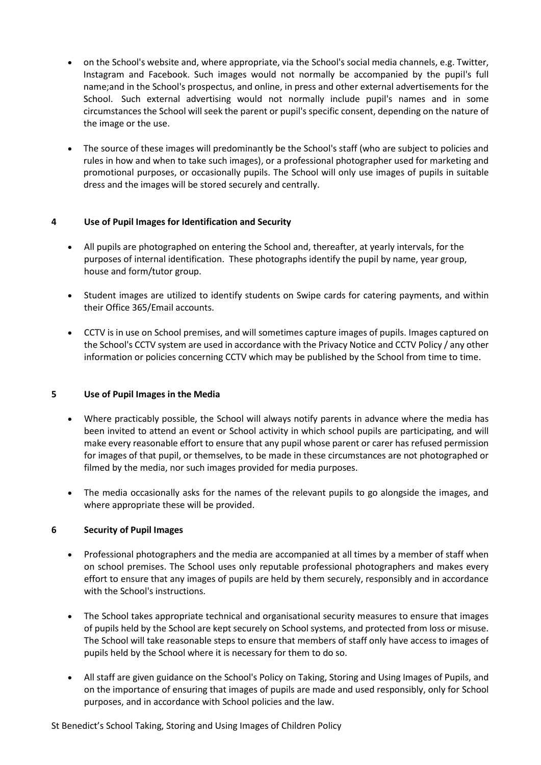- on the School's website and, where appropriate, via the School's social media channels, e.g. Twitter, Instagram and Facebook. Such images would not normally be accompanied by the pupil's full name;and in the School's prospectus, and online, in press and other external advertisements for the School. Such external advertising would not normally include pupil's names and in some circumstances the School will seek the parent or pupil's specific consent, depending on the nature of the image or the use.
- The source of these images will predominantly be the School's staff (who are subject to policies and rules in how and when to take such images), or a professional photographer used for marketing and promotional purposes, or occasionally pupils. The School will only use images of pupils in suitable dress and the images will be stored securely and centrally.

# <span id="page-3-0"></span>**4 Use of Pupil Images for Identification and Security**

- All pupils are photographed on entering the School and, thereafter, at yearly intervals, for the purposes of internal identification. These photographs identify the pupil by name, year group, house and form/tutor group.
- Student images are utilized to identify students on Swipe cards for catering payments, and within their Office 365/Email accounts.
- CCTV is in use on School premises, and will sometimes capture images of pupils. Images captured on the School's CCTV system are used in accordance with the Privacy Notice and CCTV Policy / any other information or policies concerning CCTV which may be published by the School from time to time.

#### <span id="page-3-1"></span>**5 Use of Pupil Images in the Media**

- Where practicably possible, the School will always notify parents in advance where the media has been invited to attend an event or School activity in which school pupils are participating, and will make every reasonable effort to ensure that any pupil whose parent or carer has refused permission for images of that pupil, or themselves, to be made in these circumstances are not photographed or filmed by the media, nor such images provided for media purposes.
- The media occasionally asks for the names of the relevant pupils to go alongside the images, and where appropriate these will be provided.

### <span id="page-3-2"></span>**6 Security of Pupil Images**

- Professional photographers and the media are accompanied at all times by a member of staff when on school premises. The School uses only reputable professional photographers and makes every effort to ensure that any images of pupils are held by them securely, responsibly and in accordance with the School's instructions.
- The School takes appropriate technical and organisational security measures to ensure that images of pupils held by the School are kept securely on School systems, and protected from loss or misuse. The School will take reasonable steps to ensure that members of staff only have access to images of pupils held by the School where it is necessary for them to do so.
- All staff are given guidance on the School's Policy on Taking, Storing and Using Images of Pupils, and on the importance of ensuring that images of pupils are made and used responsibly, only for School purposes, and in accordance with School policies and the law.

St Benedict's School Taking, Storing and Using Images of Children Policy